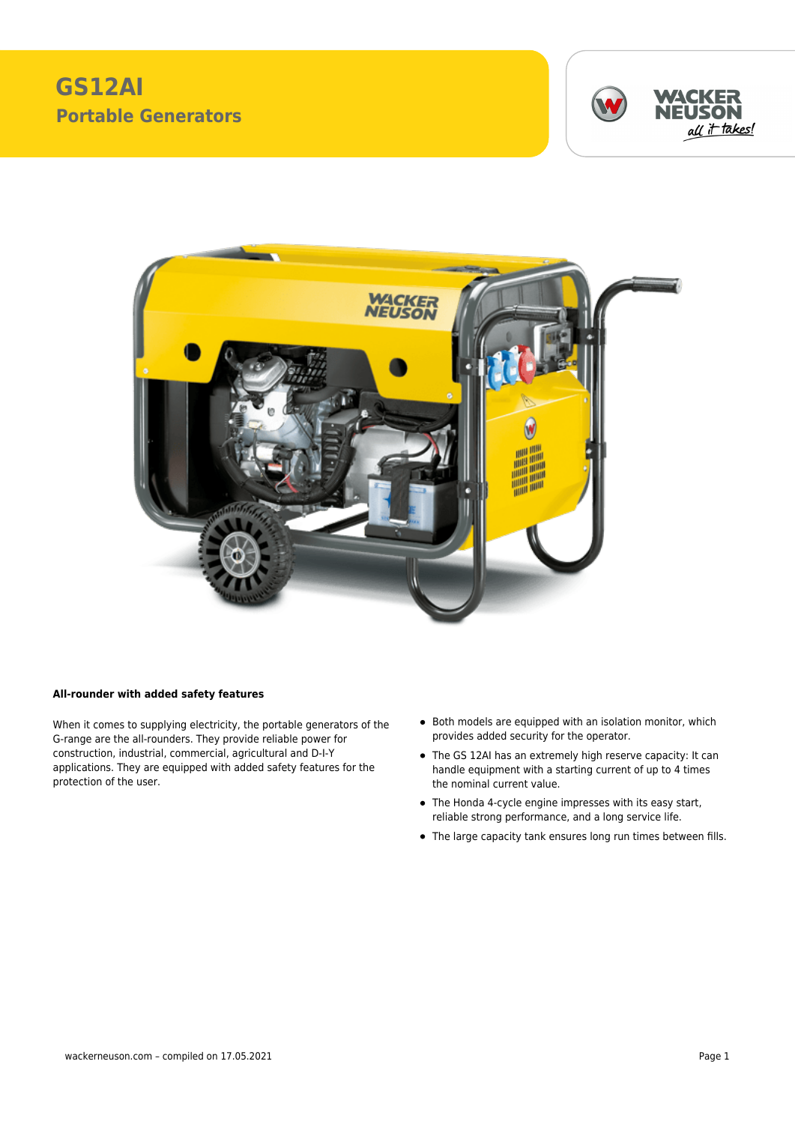## **GS12AI Portable Generators**





## **All-rounder with added safety features**

When it comes to supplying electricity, the portable generators of the G-range are the all-rounders. They provide reliable power for construction, industrial, commercial, agricultural and D-I-Y applications. They are equipped with added safety features for the protection of the user.

- Both models are equipped with an isolation monitor, which provides added security for the operator.
- The GS 12AI has an extremely high reserve capacity: It can handle equipment with a starting current of up to 4 times the nominal current value.
- The Honda 4-cycle engine impresses with its easy start, reliable strong performance, and a long service life.
- The large capacity tank ensures long run times between fills.